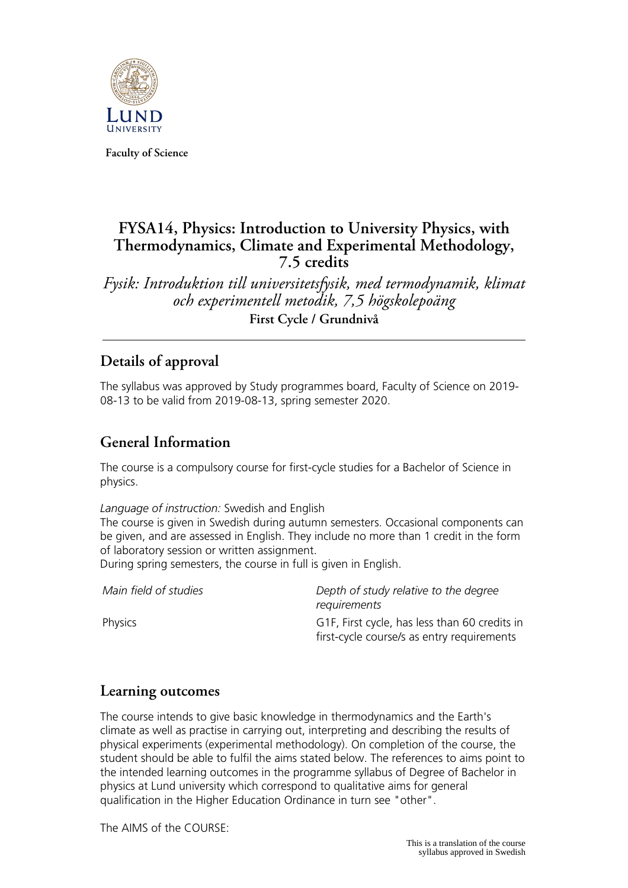

**Faculty of Science**

# **FYSA14, Physics: Introduction to University Physics, with Thermodynamics, Climate and Experimental Methodology, 7.5 credits**

*Fysik: Introduktion till universitetsfysik, med termodynamik, klimat och experimentell metodik, 7,5 högskolepoäng* **First Cycle / Grundnivå**

# **Details of approval**

The syllabus was approved by Study programmes board, Faculty of Science on 2019- 08-13 to be valid from 2019-08-13, spring semester 2020.

# **General Information**

The course is a compulsory course for first-cycle studies for a Bachelor of Science in physics.

*Language of instruction:* Swedish and English

The course is given in Swedish during autumn semesters. Occasional components can be given, and are assessed in English. They include no more than 1 credit in the form of laboratory session or written assignment.

During spring semesters, the course in full is given in English.

| Main field of studies | Depth of study relative to the degree<br>requirements                                       |
|-----------------------|---------------------------------------------------------------------------------------------|
| Physics               | G1F, First cycle, has less than 60 credits in<br>first-cycle course/s as entry requirements |

## **Learning outcomes**

The course intends to give basic knowledge in thermodynamics and the Earth's climate as well as practise in carrying out, interpreting and describing the results of physical experiments (experimental methodology). On completion of the course, the student should be able to fulfil the aims stated below. The references to aims point to the intended learning outcomes in the programme syllabus of Degree of Bachelor in physics at Lund university which correspond to qualitative aims for general qualification in the Higher Education Ordinance in turn see "other".

The AIMS of the COURSE: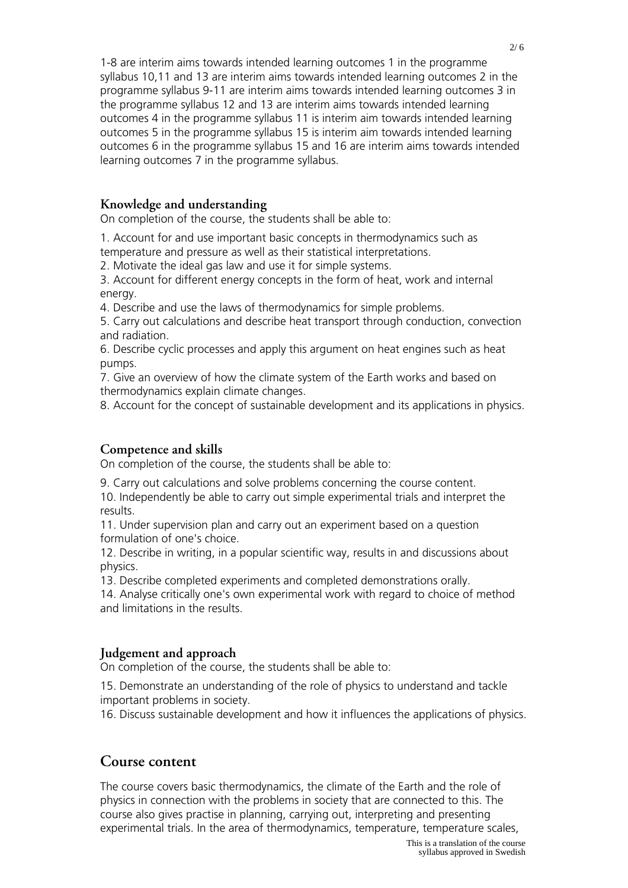1-8 are interim aims towards intended learning outcomes 1 in the programme syllabus 10,11 and 13 are interim aims towards intended learning outcomes 2 in the programme syllabus 9-11 are interim aims towards intended learning outcomes 3 in the programme syllabus 12 and 13 are interim aims towards intended learning outcomes 4 in the programme syllabus 11 is interim aim towards intended learning outcomes 5 in the programme syllabus 15 is interim aim towards intended learning outcomes 6 in the programme syllabus 15 and 16 are interim aims towards intended learning outcomes 7 in the programme syllabus.

#### **Knowledge and understanding**

On completion of the course, the students shall be able to:

1. Account for and use important basic concepts in thermodynamics such as temperature and pressure as well as their statistical interpretations.

2. Motivate the ideal gas law and use it for simple systems.

3. Account for different energy concepts in the form of heat, work and internal energy.

4. Describe and use the laws of thermodynamics for simple problems.

5. Carry out calculations and describe heat transport through conduction, convection and radiation.

6. Describe cyclic processes and apply this argument on heat engines such as heat pumps.

7. Give an overview of how the climate system of the Earth works and based on thermodynamics explain climate changes.

8. Account for the concept of sustainable development and its applications in physics.

### **Competence and skills**

On completion of the course, the students shall be able to:

9. Carry out calculations and solve problems concerning the course content.

10. Independently be able to carry out simple experimental trials and interpret the results.

11. Under supervision plan and carry out an experiment based on a question formulation of one's choice.

12. Describe in writing, in a popular scientific way, results in and discussions about physics.

13. Describe completed experiments and completed demonstrations orally.

14. Analyse critically one's own experimental work with regard to choice of method and limitations in the results.

### **Judgement and approach**

On completion of the course, the students shall be able to:

15. Demonstrate an understanding of the role of physics to understand and tackle important problems in society.

16. Discuss sustainable development and how it influences the applications of physics.

### **Course content**

The course covers basic thermodynamics, the climate of the Earth and the role of physics in connection with the problems in society that are connected to this. The course also gives practise in planning, carrying out, interpreting and presenting experimental trials. In the area of thermodynamics, temperature, temperature scales,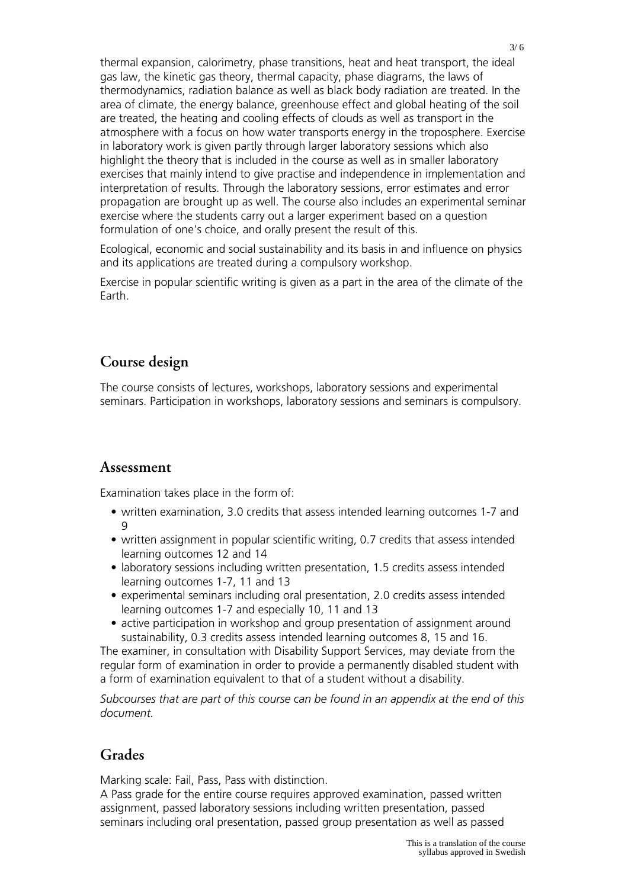thermal expansion, calorimetry, phase transitions, heat and heat transport, the ideal gas law, the kinetic gas theory, thermal capacity, phase diagrams, the laws of thermodynamics, radiation balance as well as black body radiation are treated. In the area of climate, the energy balance, greenhouse effect and global heating of the soil are treated, the heating and cooling effects of clouds as well as transport in the atmosphere with a focus on how water transports energy in the troposphere. Exercise in laboratory work is given partly through larger laboratory sessions which also highlight the theory that is included in the course as well as in smaller laboratory exercises that mainly intend to give practise and independence in implementation and interpretation of results. Through the laboratory sessions, error estimates and error propagation are brought up as well. The course also includes an experimental seminar exercise where the students carry out a larger experiment based on a question formulation of one's choice, and orally present the result of this.

Ecological, economic and social sustainability and its basis in and influence on physics and its applications are treated during a compulsory workshop.

Exercise in popular scientific writing is given as a part in the area of the climate of the Earth.

## **Course design**

The course consists of lectures, workshops, laboratory sessions and experimental seminars. Participation in workshops, laboratory sessions and seminars is compulsory.

### **Assessment**

Examination takes place in the form of:

- written examination, 3.0 credits that assess intended learning outcomes 1-7 and 9
- written assignment in popular scientific writing, 0.7 credits that assess intended learning outcomes 12 and 14
- laboratory sessions including written presentation, 1.5 credits assess intended learning outcomes 1-7, 11 and 13
- experimental seminars including oral presentation, 2.0 credits assess intended learning outcomes 1-7 and especially 10, 11 and 13
- active participation in workshop and group presentation of assignment around sustainability, 0.3 credits assess intended learning outcomes 8, 15 and 16.

The examiner, in consultation with Disability Support Services, may deviate from the regular form of examination in order to provide a permanently disabled student with a form of examination equivalent to that of a student without a disability.

*Subcourses that are part of this course can be found in an appendix at the end of this document.*

# **Grades**

Marking scale: Fail, Pass, Pass with distinction.

A Pass grade for the entire course requires approved examination, passed written assignment, passed laboratory sessions including written presentation, passed seminars including oral presentation, passed group presentation as well as passed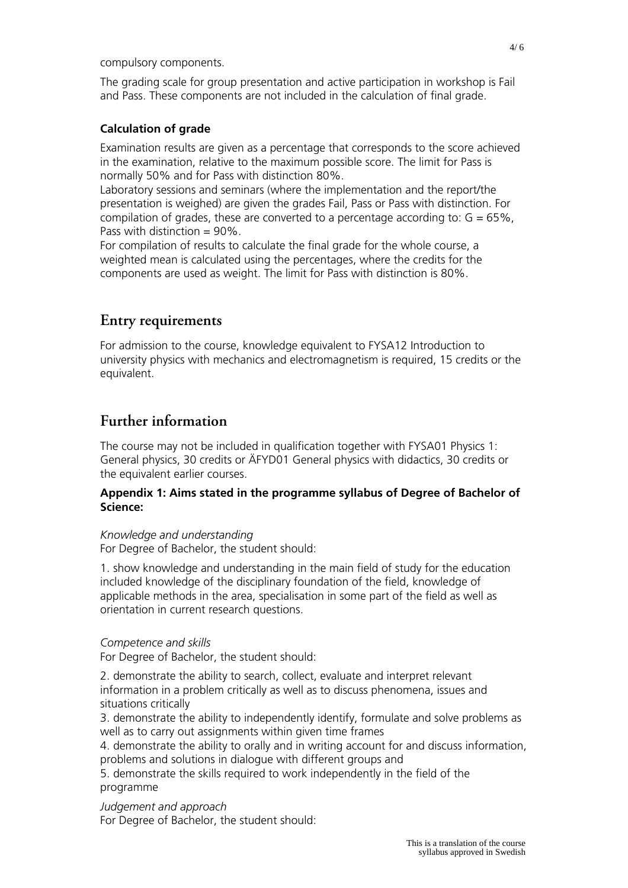compulsory components.

The grading scale for group presentation and active participation in workshop is Fail and Pass. These components are not included in the calculation of final grade.

#### **Calculation of grade**

Examination results are given as a percentage that corresponds to the score achieved in the examination, relative to the maximum possible score. The limit for Pass is normally 50% and for Pass with distinction 80%.

Laboratory sessions and seminars (where the implementation and the report/the presentation is weighed) are given the grades Fail, Pass or Pass with distinction. For compilation of grades, these are converted to a percentage according to:  $G = 65\%$ , Pass with distinction  $= 90\%$ .

For compilation of results to calculate the final grade for the whole course, a weighted mean is calculated using the percentages, where the credits for the components are used as weight. The limit for Pass with distinction is 80%.

## **Entry requirements**

For admission to the course, knowledge equivalent to FYSA12 Introduction to university physics with mechanics and electromagnetism is required, 15 credits or the equivalent.

## **Further information**

The course may not be included in qualification together with FYSA01 Physics 1: General physics, 30 credits or ÄFYD01 General physics with didactics, 30 credits or the equivalent earlier courses.

#### **Appendix 1: Aims stated in the programme syllabus of Degree of Bachelor of Science:**

#### *Knowledge and understanding*

For Degree of Bachelor, the student should:

1. show knowledge and understanding in the main field of study for the education included knowledge of the disciplinary foundation of the field, knowledge of applicable methods in the area, specialisation in some part of the field as well as orientation in current research questions.

#### *Competence and skills*

For Degree of Bachelor, the student should:

2. demonstrate the ability to search, collect, evaluate and interpret relevant information in a problem critically as well as to discuss phenomena, issues and situations critically

3. demonstrate the ability to independently identify, formulate and solve problems as well as to carry out assignments within given time frames

4. demonstrate the ability to orally and in writing account for and discuss information, problems and solutions in dialogue with different groups and

5. demonstrate the skills required to work independently in the field of the programme

*Judgement and approach* For Degree of Bachelor, the student should: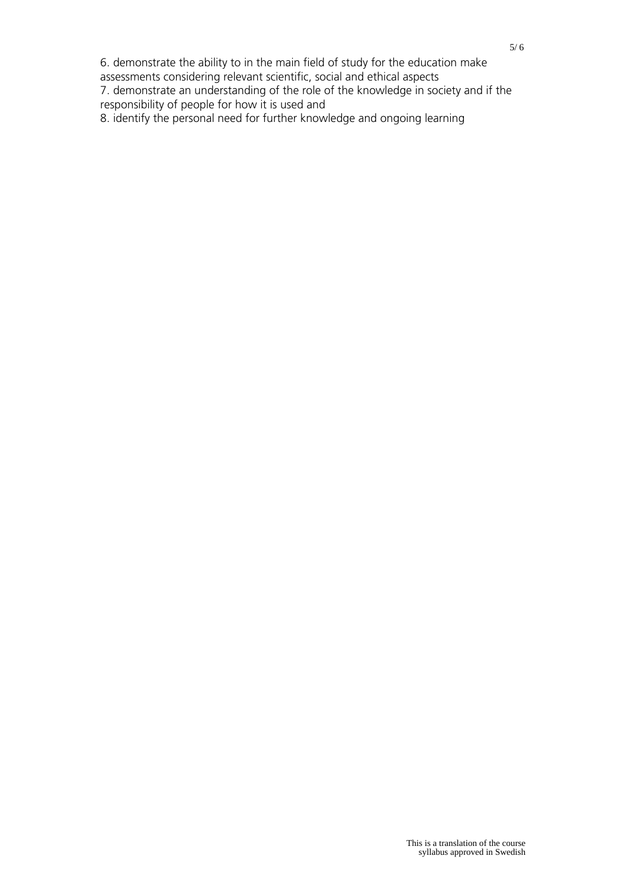6. demonstrate the ability to in the main field of study for the education make

assessments considering relevant scientific, social and ethical aspects

7. demonstrate an understanding of the role of the knowledge in society and if the responsibility of people for how it is used and

8. identify the personal need for further knowledge and ongoing learning